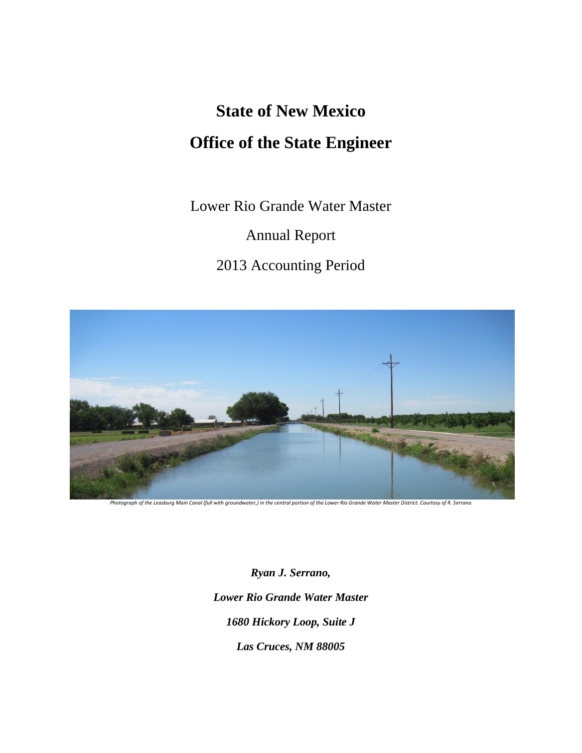# **State of New Mexico Office of the State Engineer**

Lower Rio Grande Water Master

Annual Report

2013 Accounting Period



*Ryan J. Serrano, Lower Rio Grande Water Master 1680 Hickory Loop, Suite J Las Cruces, NM 88005*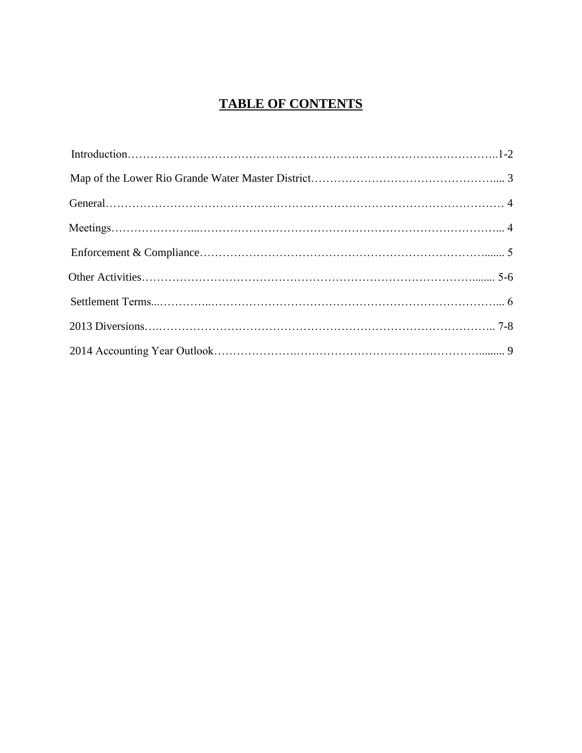# **TABLE OF CONTENTS**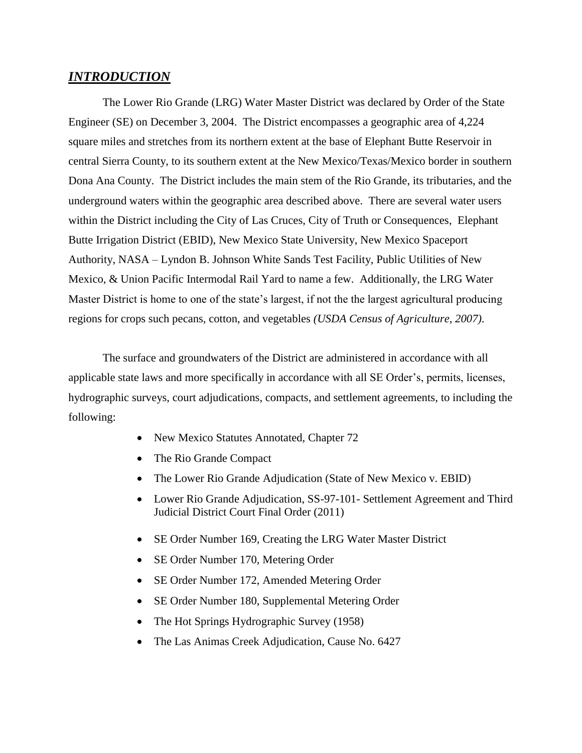## *INTRODUCTION*

The Lower Rio Grande (LRG) Water Master District was declared by Order of the State Engineer (SE) on December 3, 2004. The District encompasses a geographic area of 4,224 square miles and stretches from its northern extent at the base of Elephant Butte Reservoir in central Sierra County, to its southern extent at the New Mexico/Texas/Mexico border in southern Dona Ana County. The District includes the main stem of the Rio Grande, its tributaries, and the underground waters within the geographic area described above. There are several water users within the District including the City of Las Cruces, City of Truth or Consequences, Elephant Butte Irrigation District (EBID), New Mexico State University, New Mexico Spaceport Authority, NASA – Lyndon B. Johnson White Sands Test Facility, Public Utilities of New Mexico, & Union Pacific Intermodal Rail Yard to name a few. Additionally, the LRG Water Master District is home to one of the state's largest, if not the the largest agricultural producing regions for crops such pecans, cotton, and vegetables *(USDA Census of Agriculture, 2007)*.

The surface and groundwaters of the District are administered in accordance with all applicable state laws and more specifically in accordance with all SE Order's, permits, licenses, hydrographic surveys, court adjudications, compacts, and settlement agreements, to including the following:

- New Mexico Statutes Annotated, Chapter 72
- The Rio Grande Compact
- The Lower Rio Grande Adjudication (State of New Mexico v. EBID)
- Lower Rio Grande Adjudication, SS-97-101- Settlement Agreement and Third Judicial District Court Final Order (2011)
- SE Order Number 169, Creating the LRG Water Master District
- SE Order Number 170, Metering Order
- SE Order Number 172, Amended Metering Order
- SE Order Number 180, Supplemental Metering Order
- The Hot Springs Hydrographic Survey (1958)
- The Las Animas Creek Adjudication, Cause No. 6427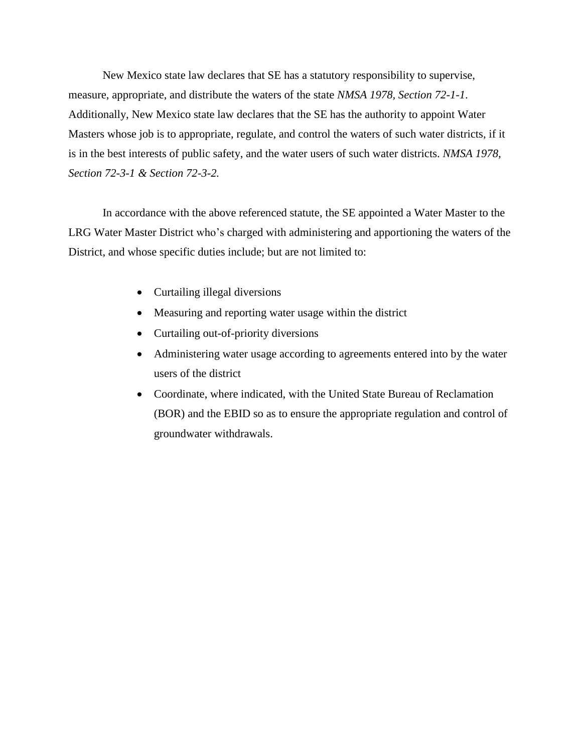New Mexico state law declares that SE has a statutory responsibility to supervise, measure, appropriate, and distribute the waters of the state *NMSA 1978, Section 72-1-1*. Additionally, New Mexico state law declares that the SE has the authority to appoint Water Masters whose job is to appropriate, regulate, and control the waters of such water districts, if it is in the best interests of public safety, and the water users of such water districts. *NMSA 1978, Section 72-3-1 & Section 72-3-2.* 

In accordance with the above referenced statute, the SE appointed a Water Master to the LRG Water Master District who's charged with administering and apportioning the waters of the District, and whose specific duties include; but are not limited to:

- Curtailing illegal diversions
- Measuring and reporting water usage within the district
- Curtailing out-of-priority diversions
- Administering water usage according to agreements entered into by the water users of the district
- Coordinate, where indicated, with the United State Bureau of Reclamation (BOR) and the EBID so as to ensure the appropriate regulation and control of groundwater withdrawals.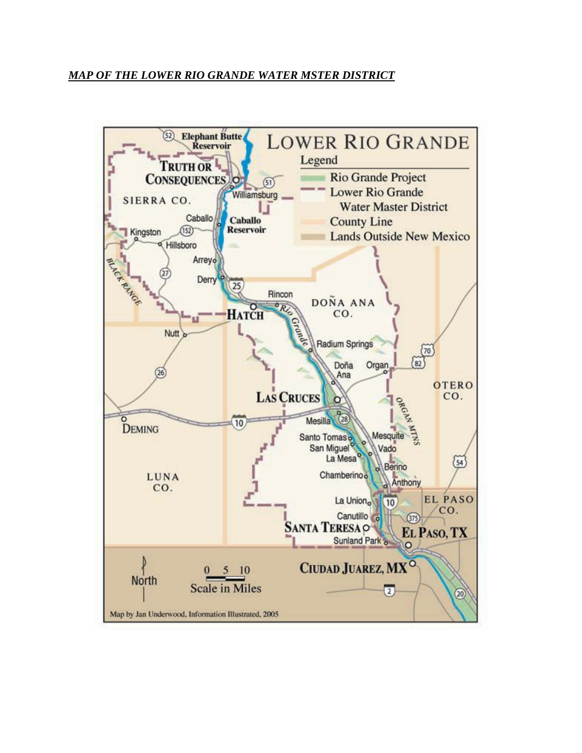## *MAP OF THE LOWER RIO GRANDE WATER MSTER DISTRICT*

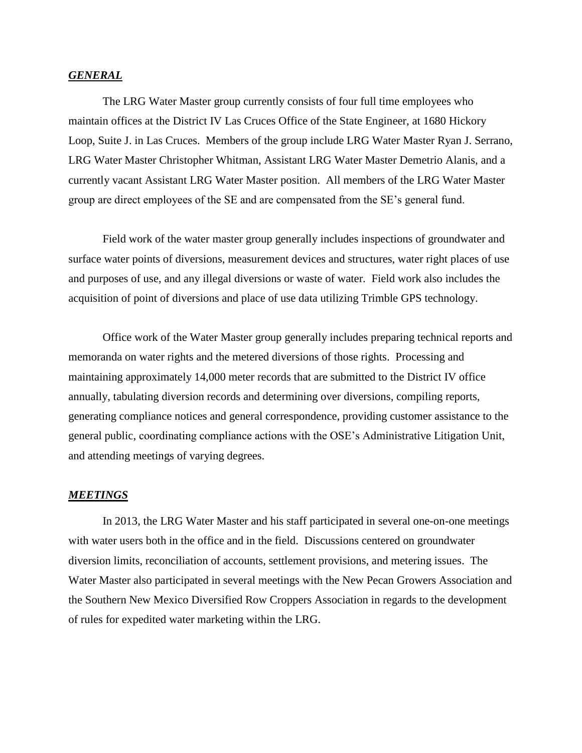#### *GENERAL*

The LRG Water Master group currently consists of four full time employees who maintain offices at the District IV Las Cruces Office of the State Engineer, at 1680 Hickory Loop, Suite J. in Las Cruces. Members of the group include LRG Water Master Ryan J. Serrano, LRG Water Master Christopher Whitman, Assistant LRG Water Master Demetrio Alanis, and a currently vacant Assistant LRG Water Master position. All members of the LRG Water Master group are direct employees of the SE and are compensated from the SE's general fund.

Field work of the water master group generally includes inspections of groundwater and surface water points of diversions, measurement devices and structures, water right places of use and purposes of use, and any illegal diversions or waste of water. Field work also includes the acquisition of point of diversions and place of use data utilizing Trimble GPS technology.

Office work of the Water Master group generally includes preparing technical reports and memoranda on water rights and the metered diversions of those rights. Processing and maintaining approximately 14,000 meter records that are submitted to the District IV office annually, tabulating diversion records and determining over diversions, compiling reports, generating compliance notices and general correspondence, providing customer assistance to the general public, coordinating compliance actions with the OSE's Administrative Litigation Unit, and attending meetings of varying degrees.

#### *MEETINGS*

In 2013, the LRG Water Master and his staff participated in several one-on-one meetings with water users both in the office and in the field. Discussions centered on groundwater diversion limits, reconciliation of accounts, settlement provisions, and metering issues. The Water Master also participated in several meetings with the New Pecan Growers Association and the Southern New Mexico Diversified Row Croppers Association in regards to the development of rules for expedited water marketing within the LRG.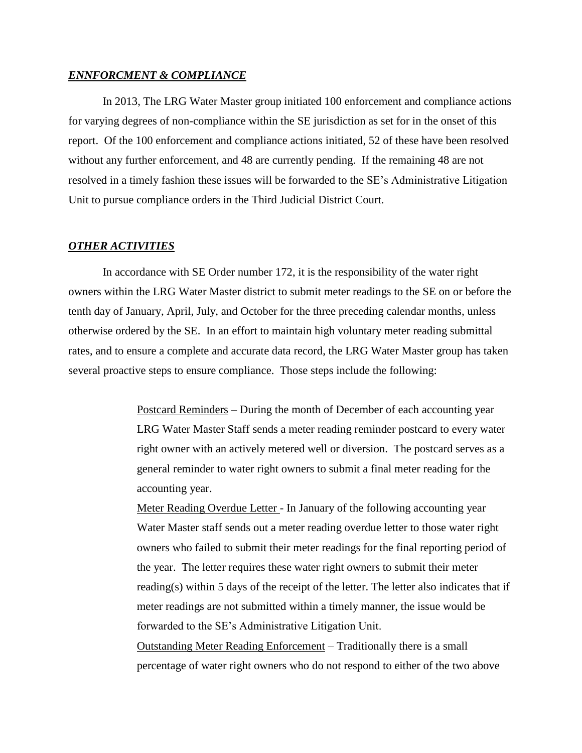#### *ENNFORCMENT & COMPLIANCE*

In 2013, The LRG Water Master group initiated 100 enforcement and compliance actions for varying degrees of non-compliance within the SE jurisdiction as set for in the onset of this report. Of the 100 enforcement and compliance actions initiated, 52 of these have been resolved without any further enforcement, and 48 are currently pending. If the remaining 48 are not resolved in a timely fashion these issues will be forwarded to the SE's Administrative Litigation Unit to pursue compliance orders in the Third Judicial District Court.

#### *OTHER ACTIVITIES*

In accordance with SE Order number 172, it is the responsibility of the water right owners within the LRG Water Master district to submit meter readings to the SE on or before the tenth day of January, April, July, and October for the three preceding calendar months, unless otherwise ordered by the SE. In an effort to maintain high voluntary meter reading submittal rates, and to ensure a complete and accurate data record, the LRG Water Master group has taken several proactive steps to ensure compliance. Those steps include the following:

> Postcard Reminders – During the month of December of each accounting year LRG Water Master Staff sends a meter reading reminder postcard to every water right owner with an actively metered well or diversion. The postcard serves as a general reminder to water right owners to submit a final meter reading for the accounting year.

Meter Reading Overdue Letter - In January of the following accounting year Water Master staff sends out a meter reading overdue letter to those water right owners who failed to submit their meter readings for the final reporting period of the year. The letter requires these water right owners to submit their meter reading(s) within 5 days of the receipt of the letter. The letter also indicates that if meter readings are not submitted within a timely manner, the issue would be forwarded to the SE's Administrative Litigation Unit.

Outstanding Meter Reading Enforcement – Traditionally there is a small percentage of water right owners who do not respond to either of the two above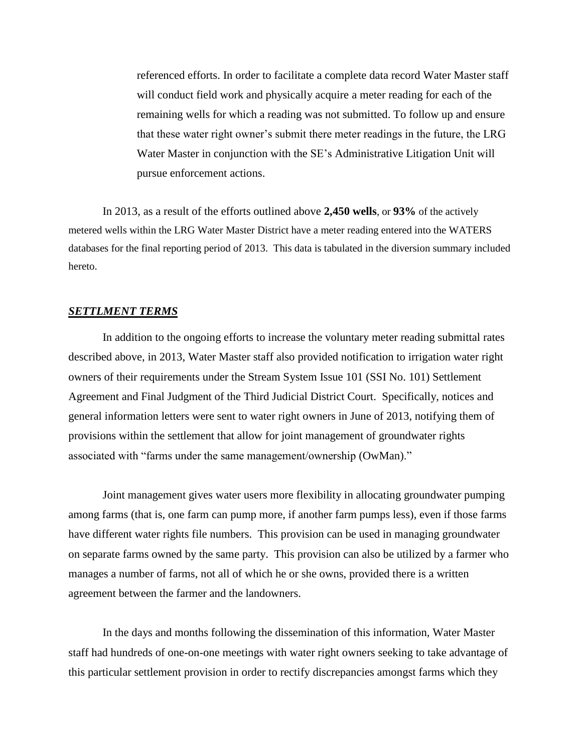referenced efforts. In order to facilitate a complete data record Water Master staff will conduct field work and physically acquire a meter reading for each of the remaining wells for which a reading was not submitted. To follow up and ensure that these water right owner's submit there meter readings in the future, the LRG Water Master in conjunction with the SE's Administrative Litigation Unit will pursue enforcement actions.

In 2013, as a result of the efforts outlined above **2,450 wells**, or **93%** of the actively metered wells within the LRG Water Master District have a meter reading entered into the WATERS databases for the final reporting period of 2013. This data is tabulated in the diversion summary included hereto.

#### *SETTLMENT TERMS*

In addition to the ongoing efforts to increase the voluntary meter reading submittal rates described above, in 2013, Water Master staff also provided notification to irrigation water right owners of their requirements under the Stream System Issue 101 (SSI No. 101) Settlement Agreement and Final Judgment of the Third Judicial District Court. Specifically, notices and general information letters were sent to water right owners in June of 2013, notifying them of provisions within the settlement that allow for joint management of groundwater rights associated with "farms under the same management/ownership (OwMan)."

Joint management gives water users more flexibility in allocating groundwater pumping among farms (that is, one farm can pump more, if another farm pumps less), even if those farms have different water rights file numbers. This provision can be used in managing groundwater on separate farms owned by the same party. This provision can also be utilized by a farmer who manages a number of farms, not all of which he or she owns, provided there is a written agreement between the farmer and the landowners.

In the days and months following the dissemination of this information, Water Master staff had hundreds of one-on-one meetings with water right owners seeking to take advantage of this particular settlement provision in order to rectify discrepancies amongst farms which they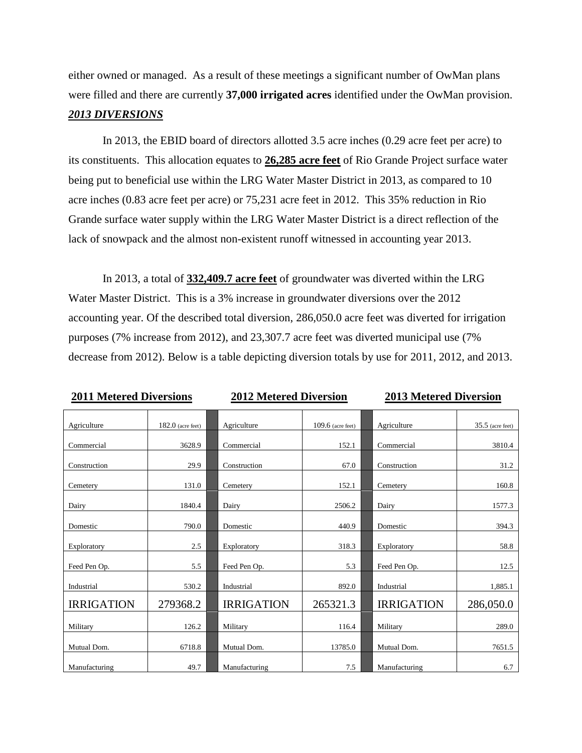either owned or managed. As a result of these meetings a significant number of OwMan plans were filled and there are currently **37,000 irrigated acres** identified under the OwMan provision.

# *2013 DIVERSIONS*

In 2013, the EBID board of directors allotted 3.5 acre inches (0.29 acre feet per acre) to its constituents. This allocation equates to **26,285 acre feet** of Rio Grande Project surface water being put to beneficial use within the LRG Water Master District in 2013, as compared to 10 acre inches (0.83 acre feet per acre) or 75,231 acre feet in 2012. This 35% reduction in Rio Grande surface water supply within the LRG Water Master District is a direct reflection of the lack of snowpack and the almost non-existent runoff witnessed in accounting year 2013.

In 2013, a total of **332,409.7 acre feet** of groundwater was diverted within the LRG Water Master District. This is a 3% increase in groundwater diversions over the 2012 accounting year. Of the described total diversion, 286,050.0 acre feet was diverted for irrigation purposes (7% increase from 2012), and 23,307.7 acre feet was diverted municipal use (7% decrease from 2012). Below is a table depicting diversion totals by use for 2011, 2012, and 2013.

### **2011 Metered Diversions 2012 Metered Diversion 2013 Metered Diversion**

| Agriculture       | $182.0$ (acre feet) | Agriculture       | $109.6$ (acre feet) | Agriculture       | $35.5$ (acre feet) |
|-------------------|---------------------|-------------------|---------------------|-------------------|--------------------|
|                   |                     |                   |                     |                   |                    |
| Commercial        | 3628.9              | Commercial        | 152.1               | Commercial        | 3810.4             |
| Construction      | 29.9                | Construction      | 67.0                | Construction      | 31.2               |
| Cemetery          | 131.0               | Cemetery          | 152.1               | Cemetery          | 160.8              |
| Dairy             | 1840.4              | Dairy             | 2506.2              | Dairy             | 1577.3             |
| Domestic          | 790.0               | Domestic          | 440.9               | Domestic          | 394.3              |
| Exploratory       | 2.5                 | Exploratory       | 318.3               | Exploratory       | 58.8               |
| Feed Pen Op.      | 5.5                 | Feed Pen Op.      | 5.3                 | Feed Pen Op.      | 12.5               |
| Industrial        | 530.2               | Industrial        | 892.0               | Industrial        | 1,885.1            |
| <b>IRRIGATION</b> | 279368.2            | <b>IRRIGATION</b> | 265321.3            | <b>IRRIGATION</b> | 286,050.0          |
| Military          | 126.2               | Military          | 116.4               | Military          | 289.0              |
| Mutual Dom.       | 6718.8              | Mutual Dom.       | 13785.0             | Mutual Dom.       | 7651.5             |
| Manufacturing     | 49.7                | Manufacturing     | 7.5                 | Manufacturing     | 6.7                |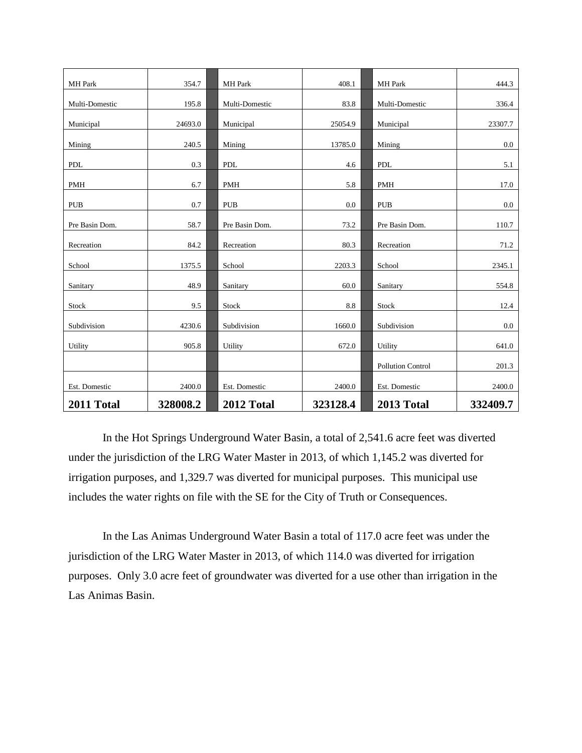| <b>MH</b> Park | 354.7    | <b>MH</b> Park | 408.1    | MH Park           | 444.3    |
|----------------|----------|----------------|----------|-------------------|----------|
| Multi-Domestic | 195.8    | Multi-Domestic | 83.8     | Multi-Domestic    | 336.4    |
| Municipal      | 24693.0  | Municipal      | 25054.9  | Municipal         | 23307.7  |
|                |          |                |          |                   |          |
| Mining         | 240.5    | Mining         | 13785.0  | Mining            | 0.0      |
| <b>PDL</b>     | 0.3      | PDL            | 4.6      | PDL               | 5.1      |
| <b>PMH</b>     | 6.7      | <b>PMH</b>     | 5.8      | <b>PMH</b>        | 17.0     |
| <b>PUB</b>     | 0.7      | <b>PUB</b>     | 0.0      | <b>PUB</b>        | 0.0      |
| Pre Basin Dom. | 58.7     | Pre Basin Dom. | 73.2     | Pre Basin Dom.    | 110.7    |
| Recreation     | 84.2     | Recreation     | 80.3     | Recreation        | 71.2     |
| School         | 1375.5   | School         | 2203.3   | School            | 2345.1   |
| Sanitary       | 48.9     | Sanitary       | 60.0     | Sanitary          | 554.8    |
| Stock          | 9.5      | Stock          | 8.8      | Stock             | 12.4     |
| Subdivision    | 4230.6   | Subdivision    | 1660.0   | Subdivision       | $0.0\,$  |
| Utility        | 905.8    | Utility        | 672.0    | Utility           | 641.0    |
|                |          |                |          | Pollution Control | 201.3    |
| Est. Domestic  | 2400.0   | Est. Domestic  | 2400.0   | Est. Domestic     | 2400.0   |
| 2011 Total     | 328008.2 | 2012 Total     | 323128.4 | 2013 Total        | 332409.7 |

In the Hot Springs Underground Water Basin, a total of 2,541.6 acre feet was diverted under the jurisdiction of the LRG Water Master in 2013, of which 1,145.2 was diverted for irrigation purposes, and 1,329.7 was diverted for municipal purposes. This municipal use includes the water rights on file with the SE for the City of Truth or Consequences.

In the Las Animas Underground Water Basin a total of 117.0 acre feet was under the jurisdiction of the LRG Water Master in 2013, of which 114.0 was diverted for irrigation purposes. Only 3.0 acre feet of groundwater was diverted for a use other than irrigation in the Las Animas Basin.